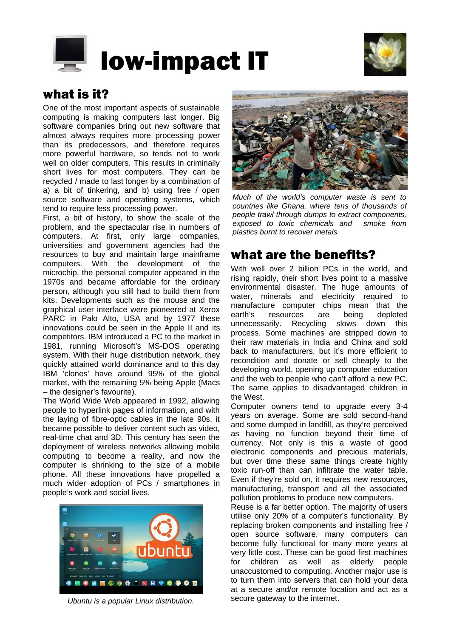



# what is it?

One of the most important aspects of sustainable computing is making computers last longer. Big software companies bring out new software that almost always requires more processing power than its predecessors, and therefore requires more powerful hardware, so tends not to work well on older computers. This results in criminally short lives for most computers. They can be recycled / made to last longer by a combination of a) a bit of tinkering, and b) using free / open source software and operating systems, which tend to require less processing power.

First, a bit of history, to show the scale of the problem, and the spectacular rise in numbers of computers. At first, only large companies, universities and government agencies had the resources to buy and maintain large mainframe computers. With the development of the microchip, the personal computer appeared in the 1970s and became affordable for the ordinary person, although you still had to build them from kits. Developments such as the mouse and the graphical user interface were pioneered at Xerox PARC in Palo Alto, USA and by 1977 these innovations could be seen in the Apple II and its competitors. IBM introduced a PC to the market in 1981, running Microsoft's MS-DOS operating system. With their huge distribution network, they quickly attained world dominance and to this day IBM 'clones' have around 95% of the global market, with the remaining 5% being Apple (Macs – the designer's favourite).

The World Wide Web appeared in 1992, allowing people to hyperlink pages of information, and with the laying of fibre-optic cables in the late 90s, it became possible to deliver content such as video, real-time chat and 3D. This century has seen the deployment of wireless networks allowing mobile computing to become a reality, and now the computer is shrinking to the size of a mobile phone. All these innovations have propelled a much wider adoption of PCs / smartphones in people's work and social lives.



*Ubuntu is* secure gateway to the internet. *a popular Linux distribution.*



*Much of the world's computer waste is sent to countries like Ghana, where tens of thousands of people trawl through dumps to extract components, exposed to toxic chemicals and smoke from plastics burnt to recover metals.*

# what are the benefits?

With well over 2 billion PCs in the world, and rising rapidly, their short lives point to a massive environmental disaster. The huge amounts of water, minerals and electricity required to manufacture computer chips mean that the earth's resources are being depleted unnecessarily. Recycling slows down this process. Some machines are stripped down to their raw materials in India and China and sold back to manufacturers, but it's more efficient to recondition and donate or sell cheaply to the developing world, opening up computer education and the web to people who can't afford a new PC. The same applies to disadvantaged children in the West.

Computer owners tend to upgrade every 3-4 years on average. Some are sold second-hand and some dumped in landfill, as they're perceived as having no function beyond their time of currency. Not only is this a waste of good electronic components and precious materials, but over time these same things create highly toxic run-off than can infiltrate the water table. Even if they're sold on, it requires new resources, manufacturing, transport and all the associated pollution problems to produce new computers.

Reuse is a far better option. The majority of users utilise only 20% of a computer's functionality. By replacing broken components and installing free / open source software, many computers can become fully functional for many more years at very little cost. These can be good first machines for children as well as elderly people unaccustomed to computing. Another major use is to turn them into servers that can hold your data at a secure and/or remote location and act as a